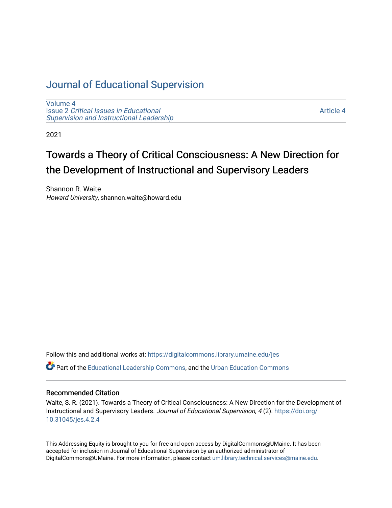## [Journal of Educational Supervision](https://digitalcommons.library.umaine.edu/jes)

[Volume 4](https://digitalcommons.library.umaine.edu/jes/vol4) Issue 2 [Critical Issues in Educational](https://digitalcommons.library.umaine.edu/jes/vol4/iss2) [Supervision and Instructional Leadership](https://digitalcommons.library.umaine.edu/jes/vol4/iss2) 

[Article 4](https://digitalcommons.library.umaine.edu/jes/vol4/iss2/4) 

2021

## Towards a Theory of Critical Consciousness: A New Direction for the Development of Instructional and Supervisory Leaders

Shannon R. Waite Howard University, shannon.waite@howard.edu

Follow this and additional works at: [https://digitalcommons.library.umaine.edu/jes](https://digitalcommons.library.umaine.edu/jes?utm_source=digitalcommons.library.umaine.edu%2Fjes%2Fvol4%2Fiss2%2F4&utm_medium=PDF&utm_campaign=PDFCoverPages) Part of the [Educational Leadership Commons,](http://network.bepress.com/hgg/discipline/1230?utm_source=digitalcommons.library.umaine.edu%2Fjes%2Fvol4%2Fiss2%2F4&utm_medium=PDF&utm_campaign=PDFCoverPages) and the [Urban Education Commons](http://network.bepress.com/hgg/discipline/793?utm_source=digitalcommons.library.umaine.edu%2Fjes%2Fvol4%2Fiss2%2F4&utm_medium=PDF&utm_campaign=PDFCoverPages) 

#### Recommended Citation

Waite, S. R. (2021). Towards a Theory of Critical Consciousness: A New Direction for the Development of Instructional and Supervisory Leaders. Journal of Educational Supervision, 4 (2). [https://doi.org/](https://doi.org/10.31045/jes.4.2.4) [10.31045/jes.4.2.4](https://doi.org/10.31045/jes.4.2.4) 

This Addressing Equity is brought to you for free and open access by DigitalCommons@UMaine. It has been accepted for inclusion in Journal of Educational Supervision by an authorized administrator of DigitalCommons@UMaine. For more information, please contact [um.library.technical.services@maine.edu](mailto:um.library.technical.services@maine.edu).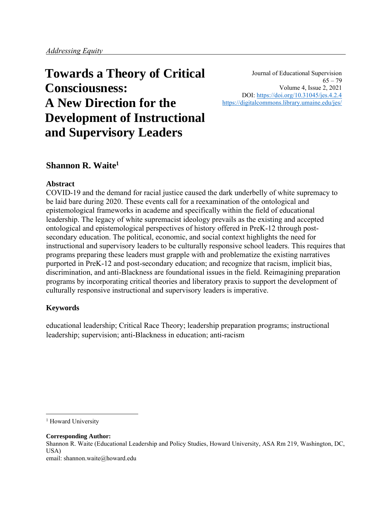# **Towards a Theory of Critical Consciousness: A New Direction for the Development of Instructional and Supervisory Leaders**

Journal of Educational Supervision  $65 - 79$ Volume 4, Issue 2, 2021 DOI: <https://doi.org/10.31045/jes.4.2.4> <https://digitalcommons.library.umaine.edu/jes/>

## **Shannon R. Waite<sup>1</sup>**

#### **Abstract**

COVID-19 and the demand for racial justice caused the dark underbelly of white supremacy to be laid bare during 2020. These events call for a reexamination of the ontological and epistemological frameworks in academe and specifically within the field of educational leadership. The legacy of white supremacist ideology prevails as the existing and accepted ontological and epistemological perspectives of history offered in PreK-12 through postsecondary education. The political, economic, and social context highlights the need for instructional and supervisory leaders to be culturally responsive school leaders. This requires that programs preparing these leaders must grapple with and problematize the existing narratives purported in PreK-12 and post-secondary education; and recognize that racism, implicit bias, discrimination, and anti-Blackness are foundational issues in the field. Reimagining preparation programs by incorporating critical theories and liberatory praxis to support the development of culturally responsive instructional and supervisory leaders is imperative.

#### **Keywords**

educational leadership; Critical Race Theory; leadership preparation programs; instructional leadership; supervision; anti-Blackness in education; anti-racism

**Corresponding Author:** Shannon R. Waite (Educational Leadership and Policy Studies, Howard University, ASA Rm 219, Washington, DC, USA)

email: shannon.waite@howard.edu

<sup>&</sup>lt;sup>1</sup> Howard University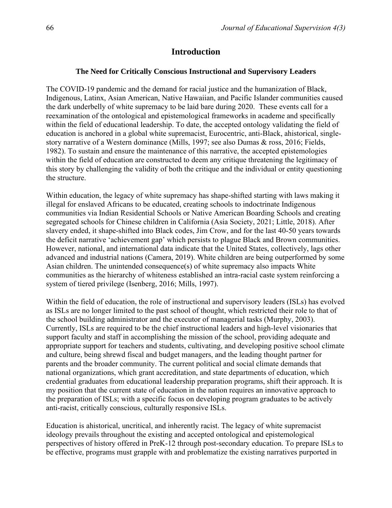#### **Introduction**

#### **The Need for Critically Conscious Instructional and Supervisory Leaders**

The COVID-19 pandemic and the demand for racial justice and the humanization of Black, Indigenous, Latinx, Asian American, Native Hawaiian, and Pacific Islander communities caused the dark underbelly of white supremacy to be laid bare during 2020. These events call for a reexamination of the ontological and epistemological frameworks in academe and specifically within the field of educational leadership. To date, the accepted ontology validating the field of education is anchored in a global white supremacist, Eurocentric, anti-Black, ahistorical, singlestory narrative of a Western dominance (Mills, 1997; see also Dumas & ross, 2016; Fields, 1982). To sustain and ensure the maintenance of this narrative, the accepted epistemologies within the field of education are constructed to deem any critique threatening the legitimacy of this story by challenging the validity of both the critique and the individual or entity questioning the structure.

Within education, the legacy of white supremacy has shape-shifted starting with laws making it illegal for enslaved Africans to be educated, creating schools to indoctrinate Indigenous communities via Indian Residential Schools or Native American Boarding Schools and creating segregated schools for Chinese children in California (Asia Society, 2021; Little, 2018). After slavery ended, it shape-shifted into Black codes, Jim Crow, and for the last 40-50 years towards the deficit narrative 'achievement gap' which persists to plague Black and Brown communities. However, national, and international data indicate that the United States, collectively, lags other advanced and industrial nations (Camera, 2019). White children are being outperformed by some Asian children. The unintended consequence(s) of white supremacy also impacts White communities as the hierarchy of whiteness established an intra-racial caste system reinforcing a system of tiered privilege (Isenberg, 2016; Mills, 1997).

Within the field of education, the role of instructional and supervisory leaders (ISLs) has evolved as ISLs are no longer limited to the past school of thought, which restricted their role to that of the school building administrator and the executor of managerial tasks (Murphy, 2003). Currently, ISLs are required to be the chief instructional leaders and high-level visionaries that support faculty and staff in accomplishing the mission of the school, providing adequate and appropriate support for teachers and students, cultivating, and developing positive school climate and culture, being shrewd fiscal and budget managers, and the leading thought partner for parents and the broader community. The current political and social climate demands that national organizations, which grant accreditation, and state departments of education, which credential graduates from educational leadership preparation programs, shift their approach. It is my position that the current state of education in the nation requires an innovative approach to the preparation of ISLs; with a specific focus on developing program graduates to be actively anti-racist, critically conscious, culturally responsive ISLs.

Education is ahistorical, uncritical, and inherently racist. The legacy of white supremacist ideology prevails throughout the existing and accepted ontological and epistemological perspectives of history offered in PreK-12 through post-secondary education. To prepare ISLs to be effective, programs must grapple with and problematize the existing narratives purported in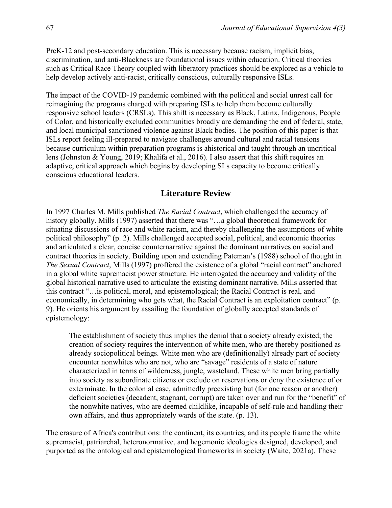PreK-12 and post-secondary education. This is necessary because racism, implicit bias, discrimination, and anti-Blackness are foundational issues within education. Critical theories such as Critical Race Theory coupled with liberatory practices should be explored as a vehicle to help develop actively anti-racist, critically conscious, culturally responsive ISLs.

The impact of the COVID-19 pandemic combined with the political and social unrest call for reimagining the programs charged with preparing ISLs to help them become culturally responsive school leaders (CRSLs). This shift is necessary as Black, Latinx, Indigenous, People of Color, and historically excluded communities broadly are demanding the end of federal, state, and local municipal sanctioned violence against Black bodies. The position of this paper is that ISLs report feeling ill-prepared to navigate challenges around cultural and racial tensions because curriculum within preparation programs is ahistorical and taught through an uncritical lens (Johnston & Young, 2019; Khalifa et al., 2016). I also assert that this shift requires an adaptive, critical approach which begins by developing SLs capacity to become critically conscious educational leaders.

## **Literature Review**

In 1997 Charles M. Mills published *The Racial Contract*, which challenged the accuracy of history globally. Mills (1997) asserted that there was "...a global theoretical framework for situating discussions of race and white racism, and thereby challenging the assumptions of white political philosophy" (p. 2). Mills challenged accepted social, political, and economic theories and articulated a clear, concise counternarrative against the dominant narratives on social and contract theories in society. Building upon and extending Pateman's (1988) school of thought in *The Sexual Contract*, Mills (1997) proffered the existence of a global "racial contract" anchored in a global white supremacist power structure. He interrogated the accuracy and validity of the global historical narrative used to articulate the existing dominant narrative. Mills asserted that this contract "…is political, moral, and epistemological; the Racial Contract is real, and economically, in determining who gets what, the Racial Contract is an exploitation contract" (p. 9). He orients his argument by assailing the foundation of globally accepted standards of epistemology:

The establishment of society thus implies the denial that a society already existed; the creation of society requires the intervention of white men, who are thereby positioned as already sociopolitical beings. White men who are (definitionally) already part of society encounter nonwhites who are not, who are "savage" residents of a state of nature characterized in terms of wilderness, jungle, wasteland. These white men bring partially into society as subordinate citizens or exclude on reservations or deny the existence of or exterminate. In the colonial case, admittedly preexisting but (for one reason or another) deficient societies (decadent, stagnant, corrupt) are taken over and run for the "benefit" of the nonwhite natives, who are deemed childlike, incapable of self-rule and handling their own affairs, and thus appropriately wards of the state. (p. 13).

The erasure of Africa's contributions: the continent, its countries, and its people frame the white supremacist, patriarchal, heteronormative, and hegemonic ideologies designed, developed, and purported as the ontological and epistemological frameworks in society (Waite, 2021a). These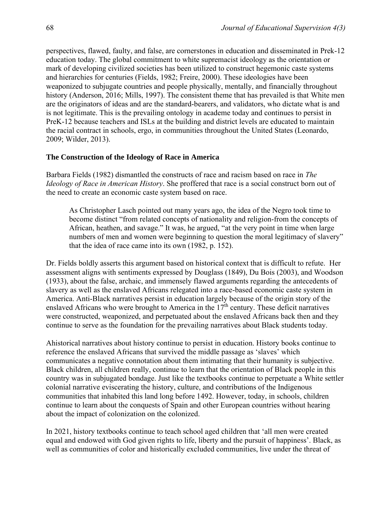perspectives, flawed, faulty, and false, are cornerstones in education and disseminated in Prek-12 education today. The global commitment to white supremacist ideology as the orientation or mark of developing civilized societies has been utilized to construct hegemonic caste systems and hierarchies for centuries (Fields, 1982; Freire, 2000). These ideologies have been weaponized to subjugate countries and people physically, mentally, and financially throughout history (Anderson, 2016; Mills, 1997). The consistent theme that has prevailed is that White men are the originators of ideas and are the standard-bearers, and validators, who dictate what is and is not legitimate. This is the prevailing ontology in academe today and continues to persist in PreK-12 because teachers and ISLs at the building and district levels are educated to maintain the racial contract in schools, ergo, in communities throughout the United States (Leonardo, 2009; Wilder, 2013).

#### **The Construction of the Ideology of Race in America**

Barbara Fields (1982) dismantled the constructs of race and racism based on race in *The Ideology of Race in American History*. She proffered that race is a social construct born out of the need to create an economic caste system based on race.

As Christopher Lasch pointed out many years ago, the idea of the Negro took time to become distinct "from related concepts of nationality and religion-from the concepts of African, heathen, and savage." It was, he argued, "at the very point in time when large numbers of men and women were beginning to question the moral legitimacy of slavery" that the idea of race came into its own (1982, p. 152).

Dr. Fields boldly asserts this argument based on historical context that is difficult to refute. Her assessment aligns with sentiments expressed by Douglass (1849), Du Bois (2003), and Woodson (1933), about the false, archaic, and immensely flawed arguments regarding the antecedents of slavery as well as the enslaved Africans relegated into a race-based economic caste system in America. Anti-Black narratives persist in education largely because of the origin story of the enslaved Africans who were brought to America in the  $17<sup>th</sup>$  century. These deficit narratives were constructed, weaponized, and perpetuated about the enslaved Africans back then and they continue to serve as the foundation for the prevailing narratives about Black students today.

Ahistorical narratives about history continue to persist in education. History books continue to reference the enslaved Africans that survived the middle passage as 'slaves' which communicates a negative connotation about them intimating that their humanity is subjective. Black children, all children really, continue to learn that the orientation of Black people in this country was in subjugated bondage. Just like the textbooks continue to perpetuate a White settler colonial narrative eviscerating the history, culture, and contributions of the Indigenous communities that inhabited this land long before 1492. However, today, in schools, children continue to learn about the conquests of Spain and other European countries without hearing about the impact of colonization on the colonized.

In 2021, history textbooks continue to teach school aged children that 'all men were created equal and endowed with God given rights to life, liberty and the pursuit of happiness'. Black, as well as communities of color and historically excluded communities, live under the threat of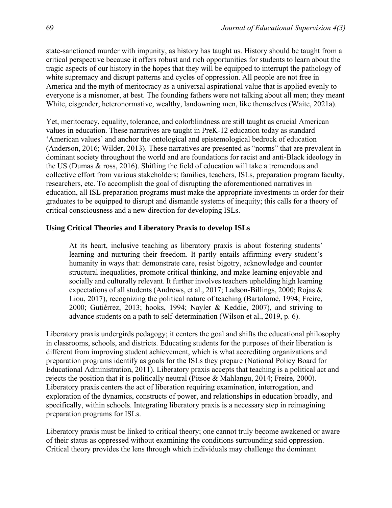state-sanctioned murder with impunity, as history has taught us. History should be taught from a critical perspective because it offers robust and rich opportunities for students to learn about the tragic aspects of our history in the hopes that they will be equipped to interrupt the pathology of white supremacy and disrupt patterns and cycles of oppression. All people are not free in America and the myth of meritocracy as a universal aspirational value that is applied evenly to everyone is a misnomer, at best. The founding fathers were not talking about all men; they meant White, cisgender, heteronormative, wealthy, landowning men, like themselves (Waite, 2021a).

Yet, meritocracy, equality, tolerance, and colorblindness are still taught as crucial American values in education. These narratives are taught in PreK-12 education today as standard 'American values' and anchor the ontological and epistemological bedrock of education (Anderson, 2016; Wilder, 2013). These narratives are presented as "norms" that are prevalent in dominant society throughout the world and are foundations for racist and anti-Black ideology in the US (Dumas  $&$  ross, 2016). Shifting the field of education will take a tremendous and collective effort from various stakeholders; families, teachers, ISLs, preparation program faculty, researchers, etc. To accomplish the goal of disrupting the aforementioned narratives in education, all ISL preparation programs must make the appropriate investments in order for their graduates to be equipped to disrupt and dismantle systems of inequity; this calls for a theory of critical consciousness and a new direction for developing ISLs.

#### **Using Critical Theories and Liberatory Praxis to develop ISLs**

At its heart, inclusive teaching as liberatory praxis is about fostering students' learning and nurturing their freedom. It partly entails affirming every student's humanity in ways that: demonstrate care, resist bigotry, acknowledge and counter structural inequalities, promote critical thinking, and make learning enjoyable and socially and culturally relevant. It further involves teachers upholding high learning expectations of all students (Andrews, et al., 2017; Ladson-Billings, 2000; Rojas & Liou, 2017), recognizing the political nature of teaching (Bartolomé, 1994; Freire, 2000; Gutiérrez, 2013; hooks, 1994; Nayler & Keddie, 2007), and striving to advance students on a path to self-determination (Wilson et al., 2019, p. 6).

Liberatory praxis undergirds pedagogy; it centers the goal and shifts the educational philosophy in classrooms, schools, and districts. Educating students for the purposes of their liberation is different from improving student achievement, which is what accrediting organizations and preparation programs identify as goals for the ISLs they prepare (National Policy Board for Educational Administration, 2011). Liberatory praxis accepts that teaching is a political act and rejects the position that it is politically neutral (Pitsoe & Mahlangu, 2014; Freire, 2000). Liberatory praxis centers the act of liberation requiring examination, interrogation, and exploration of the dynamics, constructs of power, and relationships in education broadly, and specifically, within schools. Integrating liberatory praxis is a necessary step in reimagining preparation programs for ISLs.

Liberatory praxis must be linked to critical theory; one cannot truly become awakened or aware of their status as oppressed without examining the conditions surrounding said oppression. Critical theory provides the lens through which individuals may challenge the dominant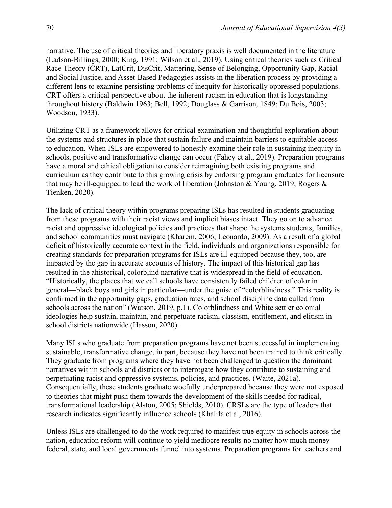narrative. The use of critical theories and liberatory praxis is well documented in the literature (Ladson-Billings, 2000; King, 1991; Wilson et al., 2019). Using critical theories such as Critical Race Theory (CRT), LatCrit, DisCrit, Mattering, Sense of Belonging, Opportunity Gap, Racial and Social Justice, and Asset-Based Pedagogies assists in the liberation process by providing a different lens to examine persisting problems of inequity for historically oppressed populations. CRT offers a critical perspective about the inherent racism in education that is longstanding throughout history (Baldwin 1963; Bell, 1992; Douglass & Garrison, 1849; Du Bois, 2003; Woodson, 1933).

Utilizing CRT as a framework allows for critical examination and thoughtful exploration about the systems and structures in place that sustain failure and maintain barriers to equitable access to education. When ISLs are empowered to honestly examine their role in sustaining inequity in schools, positive and transformative change can occur (Fahey et al., 2019). Preparation programs have a moral and ethical obligation to consider reimagining both existing programs and curriculum as they contribute to this growing crisis by endorsing program graduates for licensure that may be ill-equipped to lead the work of liberation (Johnston & Young, 2019; Rogers  $\&$ Tienken, 2020).

The lack of critical theory within programs preparing ISLs has resulted in students graduating from these programs with their racist views and implicit biases intact. They go on to advance racist and oppressive ideological policies and practices that shape the systems students, families, and school communities must navigate (Kharem, 2006; Leonardo, 2009). As a result of a global deficit of historically accurate context in the field, individuals and organizations responsible for creating standards for preparation programs for ISLs are ill-equipped because they, too, are impacted by the gap in accurate accounts of history. The impact of this historical gap has resulted in the ahistorical, colorblind narrative that is widespread in the field of education. "Historically, the places that we call schools have consistently failed children of color in general—black boys and girls in particular—under the guise of "colorblindness." This reality is confirmed in the opportunity gaps, graduation rates, and school discipline data culled from schools across the nation" (Watson, 2019, p.1). Colorblindness and White settler colonial ideologies help sustain, maintain, and perpetuate racism, classism, entitlement, and elitism in school districts nationwide (Hasson, 2020).

Many ISLs who graduate from preparation programs have not been successful in implementing sustainable, transformative change, in part, because they have not been trained to think critically. They graduate from programs where they have not been challenged to question the dominant narratives within schools and districts or to interrogate how they contribute to sustaining and perpetuating racist and oppressive systems, policies, and practices. (Waite, 2021a). Consequentially, these students graduate woefully underprepared because they were not exposed to theories that might push them towards the development of the skills needed for radical, transformational leadership (Alston, 2005; Shields, 2010). CRSLs are the type of leaders that research indicates significantly influence schools (Khalifa et al, 2016).

Unless ISLs are challenged to do the work required to manifest true equity in schools across the nation, education reform will continue to yield mediocre results no matter how much money federal, state, and local governments funnel into systems. Preparation programs for teachers and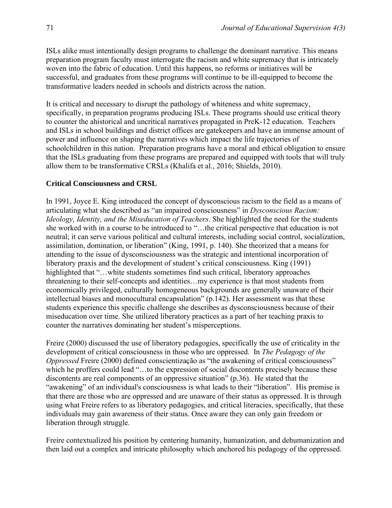ISLs alike must intentionally design programs to challenge the dominant narrative. This means preparation program faculty must interrogate the racism and white supremacy that is intricately woven into the fabric of education. Until this happens, no reforms or initiatives will be successful, and graduates from these programs will continue to be ill-equipped to become the transformative leaders needed in schools and districts across the nation.

It is critical and necessary to disrupt the pathology of whiteness and white supremacy, specifically, in preparation programs producing ISLs. These programs should use critical theory to counter the ahistorical and uncritical narratives propagated in PreK-12 education. Teachers and ISLs in school buildings and district offices are gatekeepers and have an immense amount of power and influence on shaping the narratives which impact the life trajectories of schoolchildren in this nation. Preparation programs have a moral and ethical obligation to ensure that the ISLs graduating from these programs are prepared and equipped with tools that will truly allow them to be transformative CRSLs (Khalifa et al., 2016; Shields, 2010).

#### **Critical Consciousness and CRSL**

In 1991, Joyce E. King introduced the concept of dysconscious racism to the field as a means of articulating what she described as "an impaired consciousness" in *Dysconscious Racism: Ideology, Identity, and the Miseducation of Teachers*. She highlighted the need for the students she worked with in a course to be introduced to "…the critical perspective that education is not neutral; it can serve various political and cultural interests, including social control, socialization, assimilation, domination, or liberation" (King, 1991, p. 140). She theorized that a means for attending to the issue of dysconsciousness was the strategic and intentional incorporation of liberatory praxis and the development of student's critical consciousness. King (1991) highlighted that "... white students sometimes find such critical, liberatory approaches threatening to their self-concepts and identities…my experience is that most students from economically privileged, culturally homogeneous backgrounds are generally unaware of their intellectual biases and monocultural encapsulation" (p.142). Her assessment was that these students experience this specific challenge she describes as dysconsciousness because of their miseducation over time. She utilized liberatory practices as a part of her teaching praxis to counter the narratives dominating her student's misperceptions.

Freire (2000) discussed the use of liberatory pedagogies, specifically the use of criticality in the development of critical consciousness in those who are oppressed. In *The Pedagogy of the Oppressed* Freire (2000) defined conscientização as "the awakening of critical consciousness" which he proffers could lead "...to the expression of social discontents precisely because these discontents are real components of an oppressive situation" (p.36). He stated that the "awakening" of an individual's consciousness is what leads to their "liberation". His premise is that there are those who are oppressed and are unaware of their status as oppressed. It is through using what Freire refers to as liberatory pedagogies, and critical literacies, specifically, that these individuals may gain awareness of their status. Once aware they can only gain freedom or liberation through struggle.

Freire contextualized his position by centering humanity, humanization, and dehumanization and then laid out a complex and intricate philosophy which anchored his pedagogy of the oppressed.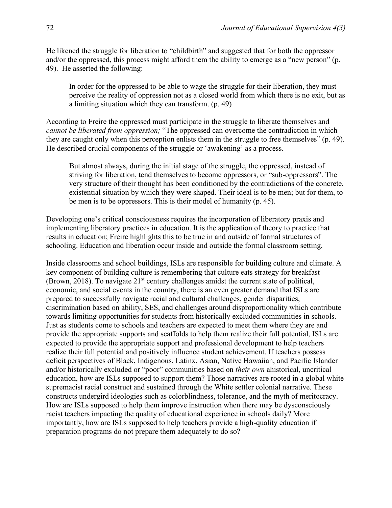He likened the struggle for liberation to "childbirth" and suggested that for both the oppressor and/or the oppressed, this process might afford them the ability to emerge as a "new person" (p. 49). He asserted the following:

In order for the oppressed to be able to wage the struggle for their liberation, they must perceive the reality of oppression not as a closed world from which there is no exit, but as a limiting situation which they can transform. (p. 49)

According to Freire the oppressed must participate in the struggle to liberate themselves and *cannot be liberated from oppression;* "The oppressed can overcome the contradiction in which they are caught only when this perception enlists them in the struggle to free themselves" (p. 49). He described crucial components of the struggle or 'awakening' as a process.

But almost always, during the initial stage of the struggle, the oppressed, instead of striving for liberation, tend themselves to become oppressors, or "sub-oppressors". The very structure of their thought has been conditioned by the contradictions of the concrete, existential situation by which they were shaped. Their ideal is to be men; but for them, to be men is to be oppressors. This is their model of humanity (p. 45).

Developing one's critical consciousness requires the incorporation of liberatory praxis and implementing liberatory practices in education. It is the application of theory to practice that results in education; Freire highlights this to be true in and outside of formal structures of schooling. Education and liberation occur inside and outside the formal classroom setting.

Inside classrooms and school buildings, ISLs are responsible for building culture and climate. A key component of building culture is remembering that culture eats strategy for breakfast (Brown, 2018). To navigate  $21<sup>st</sup>$  century challenges amidst the current state of political, economic, and social events in the country, there is an even greater demand that ISLs are prepared to successfully navigate racial and cultural challenges, gender disparities, discrimination based on ability, SES, and challenges around disproportionality which contribute towards limiting opportunities for students from historically excluded communities in schools. Just as students come to schools and teachers are expected to meet them where they are and provide the appropriate supports and scaffolds to help them realize their full potential, ISLs are expected to provide the appropriate support and professional development to help teachers realize their full potential and positively influence student achievement. If teachers possess deficit perspectives of Black, Indigenous, Latinx, Asian, Native Hawaiian, and Pacific Islander and/or historically excluded or "poor" communities based on *their own* ahistorical, uncritical education, how are ISLs supposed to support them? Those narratives are rooted in a global white supremacist racial construct and sustained through the White settler colonial narrative. These constructs undergird ideologies such as colorblindness, tolerance, and the myth of meritocracy. How are ISLs supposed to help them improve instruction when there may be dysconsciously racist teachers impacting the quality of educational experience in schools daily? More importantly, how are ISLs supposed to help teachers provide a high-quality education if preparation programs do not prepare them adequately to do so?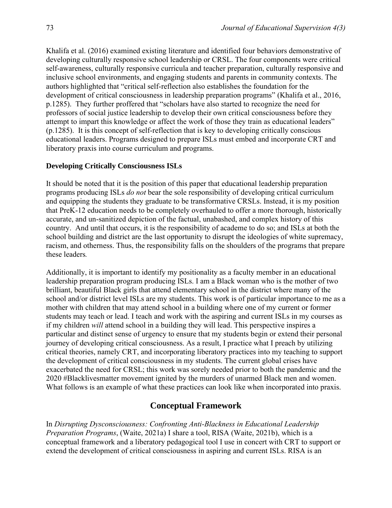Khalifa et al. (2016) examined existing literature and identified four behaviors demonstrative of developing culturally responsive school leadership or CRSL. The four components were critical self-awareness, culturally responsive curricula and teacher preparation, culturally responsive and inclusive school environments, and engaging students and parents in community contexts. The authors highlighted that "critical self-reflection also establishes the foundation for the development of critical consciousness in leadership preparation programs" (Khalifa et al., 2016, p.1285). They further proffered that "scholars have also started to recognize the need for professors of social justice leadership to develop their own critical consciousness before they attempt to impart this knowledge or affect the work of those they train as educational leaders" (p.1285). It is this concept of self-reflection that is key to developing critically conscious educational leaders. Programs designed to prepare ISLs must embed and incorporate CRT and liberatory praxis into course curriculum and programs.

#### **Developing Critically Consciousness ISLs**

It should be noted that it is the position of this paper that educational leadership preparation programs producing ISLs *do not* bear the sole responsibility of developing critical curriculum and equipping the students they graduate to be transformative CRSLs. Instead, it is my position that PreK-12 education needs to be completely overhauled to offer a more thorough, historically accurate, and un-sanitized depiction of the factual, unabashed, and complex history of this country. And until that occurs, it is the responsibility of academe to do so; and ISLs at both the school building and district are the last opportunity to disrupt the ideologies of white supremacy, racism, and otherness. Thus, the responsibility falls on the shoulders of the programs that prepare these leaders*.* 

Additionally, it is important to identify my positionality as a faculty member in an educational leadership preparation program producing ISLs. I am a Black woman who is the mother of two brilliant, beautiful Black girls that attend elementary school in the district where many of the school and/or district level ISLs are my students. This work is of particular importance to me as a mother with children that may attend school in a building where one of my current or former students may teach or lead. I teach and work with the aspiring and current ISLs in my courses as if my children *will* attend school in a building they will lead. This perspective inspires a particular and distinct sense of urgency to ensure that my students begin or extend their personal journey of developing critical consciousness. As a result, I practice what I preach by utilizing critical theories, namely CRT, and incorporating liberatory practices into my teaching to support the development of critical consciousness in my students. The current global crises have exacerbated the need for CRSL; this work was sorely needed prior to both the pandemic and the 2020 #Blacklivesmatter movement ignited by the murders of unarmed Black men and women. What follows is an example of what these practices can look like when incorporated into praxis.

#### **Conceptual Framework**

In *Disrupting Dysconsciousness: Confronting Anti-Blackness in Educational Leadership Preparation Programs*, (Waite, 2021a) I share a tool, RISA (Waite, 2021b), which is a conceptual framework and a liberatory pedagogical tool I use in concert with CRT to support or extend the development of critical consciousness in aspiring and current ISLs. RISA is an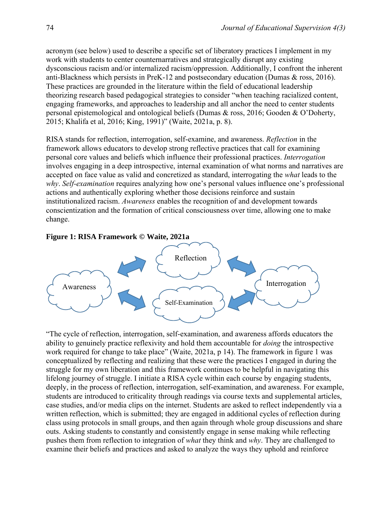acronym (see below) used to describe a specific set of liberatory practices I implement in my work with students to center counternarratives and strategically disrupt any existing dysconscious racism and/or internalized racism/oppression. Additionally, I confront the inherent anti-Blackness which persists in PreK-12 and postsecondary education (Dumas & ross, 2016). These practices are grounded in the literature within the field of educational leadership theorizing research based pedagogical strategies to consider "when teaching racialized content, engaging frameworks, and approaches to leadership and all anchor the need to center students personal epistemological and ontological beliefs (Dumas & ross, 2016; Gooden & O'Doherty, 2015; Khalifa et al, 2016; King, 1991)" (Waite, 2021a, p. 8).

RISA stands for reflection, interrogation, self-examine, and awareness. *Reflection* in the framework allows educators to develop strong reflective practices that call for examining personal core values and beliefs which influence their professional practices. *Interrogation* involves engaging in a deep introspective, internal examination of what norms and narratives are accepted on face value as valid and concretized as standard, interrogating the *what* leads to the *why*. *Self-examination* requires analyzing how one's personal values influence one's professional actions and authentically exploring whether those decisions reinforce and sustain institutionalized racism. *Awareness* enables the recognition of and development towards conscientization and the formation of critical consciousness over time, allowing one to make change.





"The cycle of reflection, interrogation, self-examination, and awareness affords educators the ability to genuinely practice reflexivity and hold them accountable for *doing* the introspective work required for change to take place" (Waite, 2021a, p 14). The framework in figure 1 was conceptualized by reflecting and realizing that these were the practices I engaged in during the struggle for my own liberation and this framework continues to be helpful in navigating this lifelong journey of struggle. I initiate a RISA cycle within each course by engaging students, deeply, in the process of reflection, interrogation, self-examination, and awareness. For example, students are introduced to criticality through readings via course texts and supplemental articles, case studies, and/or media clips on the internet. Students are asked to reflect independently via a written reflection, which is submitted; they are engaged in additional cycles of reflection during class using protocols in small groups, and then again through whole group discussions and share outs. Asking students to constantly and consistently engage in sense making while reflecting pushes them from reflection to integration of *what* they think and *why*. They are challenged to examine their beliefs and practices and asked to analyze the ways they uphold and reinforce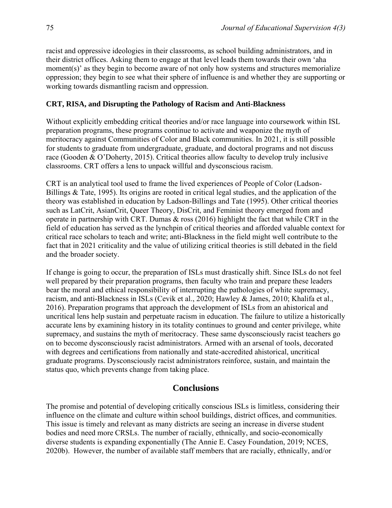racist and oppressive ideologies in their classrooms, as school building administrators, and in their district offices. Asking them to engage at that level leads them towards their own 'aha moment(s)' as they begin to become aware of not only how systems and structures memorialize oppression; they begin to see what their sphere of influence is and whether they are supporting or working towards dismantling racism and oppression.

#### **CRT, RISA, and Disrupting the Pathology of Racism and Anti-Blackness**

Without explicitly embedding critical theories and/or race language into coursework within ISL preparation programs, these programs continue to activate and weaponize the myth of meritocracy against Communities of Color and Black communities. In 2021, it is still possible for students to graduate from undergraduate, graduate, and doctoral programs and not discuss race (Gooden & O'Doherty, 2015). Critical theories allow faculty to develop truly inclusive classrooms. CRT offers a lens to unpack willful and dysconscious racism.

CRT is an analytical tool used to frame the lived experiences of People of Color (Ladson-Billings & Tate, 1995). Its origins are rooted in critical legal studies, and the application of the theory was established in education by Ladson-Billings and Tate (1995). Other critical theories such as LatCrit, AsianCrit, Queer Theory, DisCrit, and Feminist theory emerged from and operate in partnership with CRT. Dumas & ross (2016) highlight the fact that while CRT in the field of education has served as the lynchpin of critical theories and afforded valuable context for critical race scholars to teach and write; anti-Blackness in the field might well contribute to the fact that in 2021 criticality and the value of utilizing critical theories is still debated in the field and the broader society.

If change is going to occur, the preparation of ISLs must drastically shift. Since ISLs do not feel well prepared by their preparation programs, then faculty who train and prepare these leaders bear the moral and ethical responsibility of interrupting the pathologies of white supremacy, racism, and anti-Blackness in ISLs (Cevik et al., 2020; Hawley & James, 2010; Khalifa et al., 2016). Preparation programs that approach the development of ISLs from an ahistorical and uncritical lens help sustain and perpetuate racism in education. The failure to utilize a historically accurate lens by examining history in its totality continues to ground and center privilege, white supremacy, and sustains the myth of meritocracy. These same dysconsciously racist teachers go on to become dysconsciously racist administrators. Armed with an arsenal of tools, decorated with degrees and certifications from nationally and state-accredited ahistorical, uncritical graduate programs. Dysconsciously racist administrators reinforce, sustain, and maintain the status quo, which prevents change from taking place.

### **Conclusions**

The promise and potential of developing critically conscious ISLs is limitless, considering their influence on the climate and culture within school buildings, district offices, and communities. This issue is timely and relevant as many districts are seeing an increase in diverse student bodies and need more CRSLs. The number of racially, ethnically, and socio-economically diverse students is expanding exponentially (The Annie E. Casey Foundation, 2019; NCES, 2020b). However, the number of available staff members that are racially, ethnically, and/or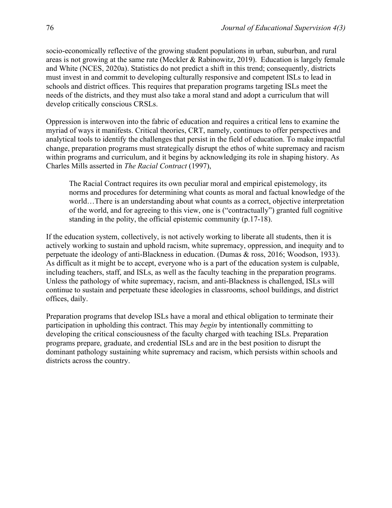socio-economically reflective of the growing student populations in urban, suburban, and rural areas is not growing at the same rate (Meckler & Rabinowitz, 2019). Education is largely female and White (NCES, 2020a). Statistics do not predict a shift in this trend; consequently, districts must invest in and commit to developing culturally responsive and competent ISLs to lead in schools and district offices. This requires that preparation programs targeting ISLs meet the needs of the districts, and they must also take a moral stand and adopt a curriculum that will develop critically conscious CRSLs.

Oppression is interwoven into the fabric of education and requires a critical lens to examine the myriad of ways it manifests. Critical theories, CRT, namely, continues to offer perspectives and analytical tools to identify the challenges that persist in the field of education. To make impactful change, preparation programs must strategically disrupt the ethos of white supremacy and racism within programs and curriculum, and it begins by acknowledging its role in shaping history. As Charles Mills asserted in *The Racial Contract* (1997),

The Racial Contract requires its own peculiar moral and empirical epistemology, its norms and procedures for determining what counts as moral and factual knowledge of the world…There is an understanding about what counts as a correct, objective interpretation of the world, and for agreeing to this view, one is ("contractually") granted full cognitive standing in the polity, the official epistemic community (p.17-18).

If the education system, collectively, is not actively working to liberate all students, then it is actively working to sustain and uphold racism, white supremacy, oppression, and inequity and to perpetuate the ideology of anti-Blackness in education. (Dumas & ross, 2016; Woodson, 1933). As difficult as it might be to accept, everyone who is a part of the education system is culpable, including teachers, staff, and ISLs, as well as the faculty teaching in the preparation programs. Unless the pathology of white supremacy, racism, and anti-Blackness is challenged, ISLs will continue to sustain and perpetuate these ideologies in classrooms, school buildings, and district offices, daily.

Preparation programs that develop ISLs have a moral and ethical obligation to terminate their participation in upholding this contract. This may *begin* by intentionally committing to developing the critical consciousness of the faculty charged with teaching ISLs. Preparation programs prepare, graduate, and credential ISLs and are in the best position to disrupt the dominant pathology sustaining white supremacy and racism, which persists within schools and districts across the country.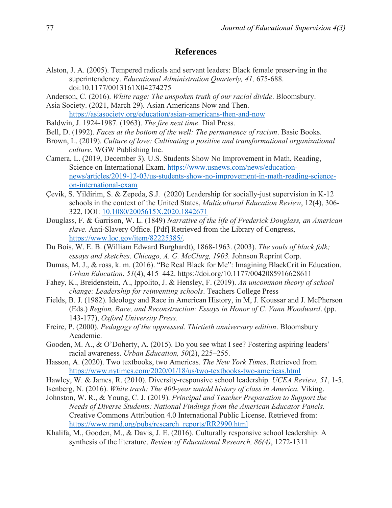#### **References**

- Alston, J. A. (2005). Tempered radicals and servant leaders: Black female preserving in the superintendency. *Educational Administration Quarterly, 41,* 675-688. doi:10.1177/0013161X04274275
- Anderson, C. (2016). *White rage: The unspoken truth of our racial divide*. Bloomsbury. Asia Society. (2021, March 29). Asian Americans Now and Then.

<https://asiasociety.org/education/asian-americans-then-and-now>

- Baldwin, J. 1924-1987. (1963). *The fire next time*. Dial Press.
- Bell, D. (1992). *Faces at the bottom of the well: The permanence of racism*. Basic Books.
- Brown, L. (2019). *Culture of love: Cultivating a positive and transformational organizational culture.* WGW Publishing Inc.
- Camera, L. (2019, December 3). U.S. Students Show No Improvement in Math, Reading, Science on International Exam. [https://www.usnews.com/news/education](https://www.usnews.com/news/education-news/articles/2019-12-03/us-students-show-no-improvement-in-math-reading-science-on-international-exam)[news/articles/2019-12-03/us-students-show-no-improvement-in-math-reading-science](https://www.usnews.com/news/education-news/articles/2019-12-03/us-students-show-no-improvement-in-math-reading-science-on-international-exam)[on-international-exam](https://www.usnews.com/news/education-news/articles/2019-12-03/us-students-show-no-improvement-in-math-reading-science-on-international-exam)
- Çevik, S. Yildirim, S. & Zepeda, S.J. (2020) Leadership for socially-just supervision in K-12 schools in the context of the United States, *Multicultural Education Review*, 12(4), 306- 322, DOI: [10.1080/2005615X.2020.1842671](https://doi.org/10.1080/2005615X.2020.1842671)
- Douglass, F. & Garrison, W. L. (1849) *Narrative of the life of Frederick Douglass, an American slave*. Anti-Slavery Office. [Pdf] Retrieved from the Library of Congress, [https://www.loc.gov/item/82225385/.](https://www.loc.gov/item/82225385/)
- Du Bois, W. E. B. (William Edward Burghardt), 1868-1963. (2003). *The souls of black folk; essays and sketches*. *Chicago, A. G. McClurg, 1903.* Johnson Reprint Corp.
- Dumas, M. J., & ross, k. m. (2016). "Be Real Black for Me": Imagining BlackCrit in Education. *Urban Education*, *51*(4), 415–442. https://doi.org/10.1177/0042085916628611
- Fahey, K., Breidenstein, A., Ippolito, J. & Hensley, F. (2019). *An uncommon theory of school change: Leadership for reinventing schools*. Teachers College Press
- Fields, B. J. (1982). Ideology and Race in American History, in M, J. Koussar and J. McPherson (Eds.) *Region, Race, and Reconstruction: Essays in Honor of C. Vann Woodward*. (pp. 143-177), *Oxford University Press*.
- Freire, P. (2000). *Pedagogy of the oppressed. Thirtieth anniversary edition*. Bloomsbury Academic.
- Gooden, M. A., & O'Doherty, A. (2015). Do you see what I see? Fostering aspiring leaders' racial awareness. *Urban Education, 50*(2), 225–255.
- Hasson, A. (2020). Two textbooks, two Americas. *The New York Times*. Retrieved from <https://www.nytimes.com/2020/01/18/us/two-textbooks-two-americas.html>
- Hawley, W. & James, R. (2010). Diversity-responsive school leadership. *UCEA Review, 51*, 1-5.
- Isenberg, N. (2016). *White trash: The 400-year untold history of class in America.* Viking.
- Johnston, W. R., & Young, C. J. (2019). *Principal and Teacher Preparation to Support the Needs of Diverse Students: National Findings from the American Educator Panels.* Creative Commons Attribution 4.0 International Public License. Retrieved from: [https://www.rand.org/pubs/research\\_reports/RR2990.html](https://www.rand.org/pubs/research_reports/RR2990.html)
- Khalifa, M., Gooden, M., & Davis, J. E. (2016). Culturally responsive school leadership: A synthesis of the literature. *Review of Educational Research, 86(4)*, 1272-1311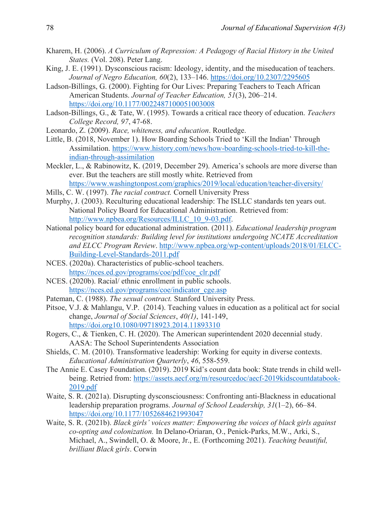- Kharem, H. (2006). *A Curriculum of Repression: A Pedagogy of Racial History in the United States.* (Vol. 208). Peter Lang.
- King, J. E. (1991). Dysconscious racism: Ideology, identity, and the miseducation of teachers. *Journal of Negro Education, 60*(2), 133–146.<https://doi.org/10.2307/2295605>
- Ladson-Billings, G. (2000). Fighting for Our Lives: Preparing Teachers to Teach African American Students. *Journal of Teacher Education, 51*(3), 206–214. <https://doi.org/10.1177/0022487100051003008>
- Ladson-Billings, G., & Tate, W. (1995). Towards a critical race theory of education. *Teachers College Record, 97*, 47-68.
- Leonardo, Z. (2009). *Race, whiteness, and education*. Routledge.
- Little, B. (2018, November 1). How Boarding Schools Tried to 'Kill the Indian' Through Assimilation. [https://www.history.com/news/how-boarding-schools-tried-to-kill-the](https://www.history.com/news/how-boarding-schools-tried-to-kill-the-indian-through-assimilation)[indian-through-assimilation](https://www.history.com/news/how-boarding-schools-tried-to-kill-the-indian-through-assimilation)
- Meckler, L., & Rabinowitz, K. (2019, December 29). America's schools are more diverse than ever. But the teachers are still mostly white. Retrieved from <https://www.washingtonpost.com/graphics/2019/local/education/teacher-diversity/>
- Mills, C. W. (1997). *The racial contract.* Cornell University Press
- Murphy, J. (2003). Reculturing educational leadership: The ISLLC standards ten years out. National Policy Board for Educational Administration. Retrieved from: [http://www.npbea.org/Resources/ILLC\\_10\\_9-03.pdf.](http://www.npbea.org/Resources/ILLC_10_9-03.pdf)
- National policy board for educational administration. (2011). *Educational leadership program recognition standards: Building level for institutions undergoing NCATE Accreditation and ELCC Program Review*. [http://www.npbea.org/wp-content/uploads/2018/01/ELCC-](http://www.npbea.org/wp-content/uploads/2018/01/ELCC-Building-Level-Standards-2011.pdf)[Building-Level-Standards-2011.pdf](http://www.npbea.org/wp-content/uploads/2018/01/ELCC-Building-Level-Standards-2011.pdf)
- NCES. (2020a). Characteristics of public-school teachers. [https://nces.ed.gov/programs/coe/pdf/coe\\_clr.pdf](https://nces.ed.gov/programs/coe/pdf/coe_clr.pdf)
- NCES. (2020b). Racial/ ethnic enrollment in public schools. [https://nces.ed.gov/programs/coe/indicator\\_cge.asp](https://nces.ed.gov/programs/coe/indicator_cge.asp)
- Pateman, C. (1988). *The sexual contract.* Stanford University Press.
- Pitsoe, V.J. & Mahlangu, V.P. (2014). Teaching values in education as a political act for social change, *Journal of Social Sciences*, *40(1)*, 141-149, <https://doi.org10.1080/09718923.2014.11893310>
- Rogers, C., & Tienken, C. H. (2020). The American superintendent 2020 decennial study. AASA: The School Superintendents Association
- Shields, C. M. (2010). Transformative leadership: Working for equity in diverse contexts. *Educational Administration Quarterly*, *46*, 558-559.
- The Annie E. Casey Foundation. (2019). 2019 Kid's count data book: State trends in child wellbeing. Retried from: [https://assets.aecf.org/m/resourcedoc/aecf-2019kidscountdatabook-](https://assets.aecf.org/m/resourcedoc/aecf-2019kidscountdatabook-2019.pdf)[2019.pdf](https://assets.aecf.org/m/resourcedoc/aecf-2019kidscountdatabook-2019.pdf)
- Waite, S. R. (2021a). Disrupting dysconsciousness: Confronting anti-Blackness in educational leadership preparation programs. *Journal of School Leadership, 31*(1–2), 66–84. <https://doi.org/10.1177/1052684621993047>
- Waite, S. R. (2021b). *Black girls' voices matter: Empowering the voices of black girls against co-opting and colonization.* In Delano-Oriaran, O., Penick-Parks, M.W., Arki, S., Michael, A., Swindell, O. & Moore, Jr., E. (Forthcoming 2021). *Teaching beautiful, brilliant Black girls*. Corwin